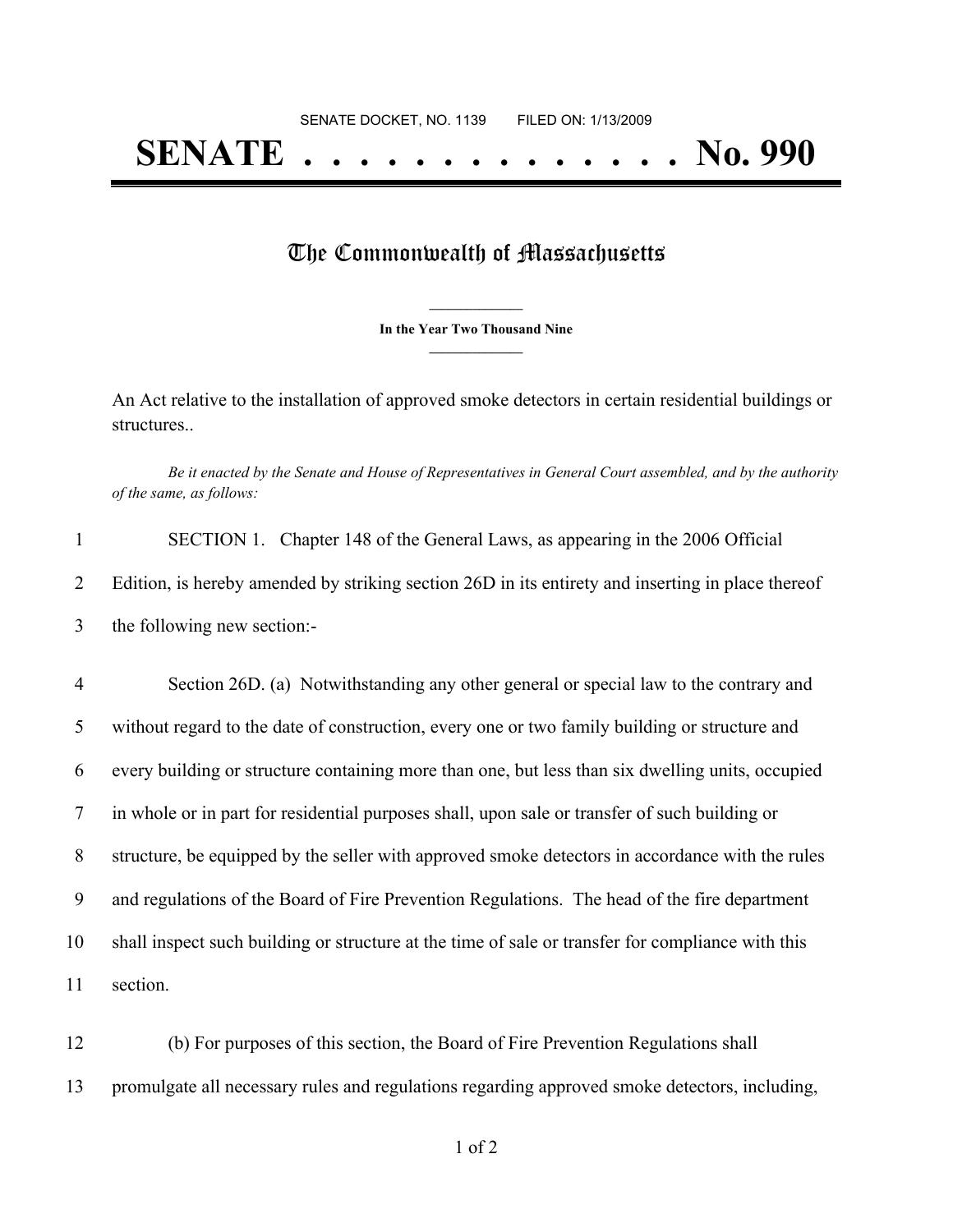## **SENATE . . . . . . . . . . . . . . No. 990**

## The Commonwealth of Massachusetts

**\_\_\_\_\_\_\_\_\_\_\_\_\_\_\_ In the Year Two Thousand Nine \_\_\_\_\_\_\_\_\_\_\_\_\_\_\_**

An Act relative to the installation of approved smoke detectors in certain residential buildings or structures..

Be it enacted by the Senate and House of Representatives in General Court assembled, and by the authority *of the same, as follows:*

| SECTION 1. Chapter 148 of the General Laws, as appearing in the 2006 Official                     |
|---------------------------------------------------------------------------------------------------|
| Edition, is hereby amended by striking section 26D in its entirety and inserting in place thereof |
| the following new section:-                                                                       |

 Section 26D. (a) Notwithstanding any other general or special law to the contrary and without regard to the date of construction, every one or two family building or structure and every building or structure containing more than one, but less than six dwelling units, occupied in whole or in part for residential purposes shall, upon sale or transfer of such building or structure, be equipped by the seller with approved smoke detectors in accordance with the rules and regulations of the Board of Fire Prevention Regulations. The head of the fire department shall inspect such building or structure at the time of sale or transfer for compliance with this 11 section.

12 (b) For purposes of this section, the Board of Fire Prevention Regulations shall 13 promulgate all necessary rules and regulations regarding approved smoke detectors, including,